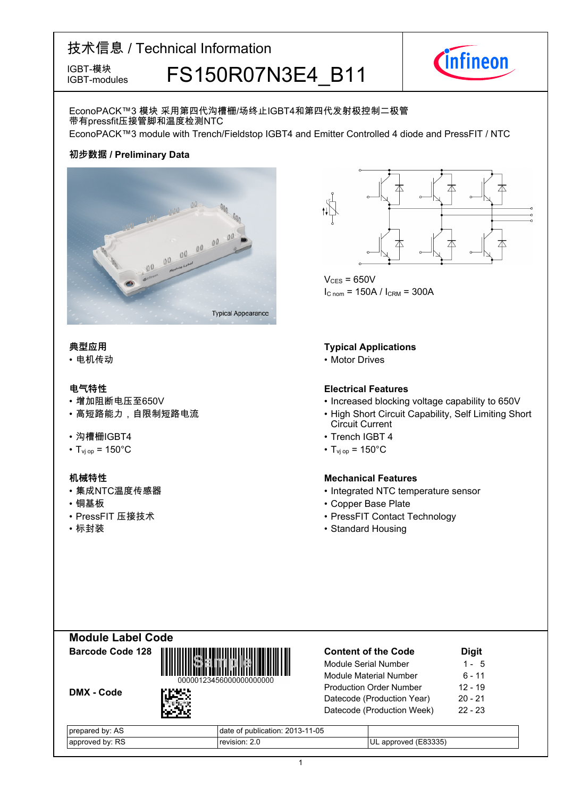# 技术信息 / Technical Information IGBT-模块<br>IGBT-modules FS150R07N3E4 B11



IGBT-modules

### EconoPACK™3 模块 采用第四代沟槽栅/场终止IGBT4和第四代发射极控制二极管 带有pressfit压接管脚和温度检测NTC

EconoPACK™3 module with Trench/Fieldstop IGBT4 and Emitter Controlled 4 diode and PressFIT / NTC

### **初步数据 / Preliminary Data**



#### **典型应用**

• 电机传动

- $\cdot$  增加阻断电压至650V
- 

#### • 沟槽栅IGBT4

•  $T_{\text{vj}}$  op = 150°C • T<sub>vj</sub>

- 集成NTC温度传感器
- 
- PressFIT 压接技术
- 

 $V_{CFS}$  = 650V  $I_{C \text{ nom}} = 150A / I_{CRM} = 300A$ 

#### **Typical Applications**

• Motor Drives

#### **电气特性 Electrical-Features**

- blocking voltage capability to 650V
- 高短路能力,自限制短路电流 High Short Circuit Capability, Self Limiting Short Circuit Current
	- IGBT-4
	- $_{\text{op}}$  = 150 $^{\circ}$ C

#### **机械特性 Mechanical-Features**

- NTC temperature sensor
- 铜基板 Copper-Base-Plate
	- 压接技术 PressFIT-Contact-Technology
- 标封装 Standard Housing



| <b>Content of the Code</b>     | <b>Digit</b> |
|--------------------------------|--------------|
| <b>Module Serial Number</b>    | 1 - 5        |
| Module Material Number         | 6 - 11       |
| <b>Production Order Number</b> | 12 - 19      |
| Datecode (Production Year)     | $20 - 21$    |
| Datecode (Production Week)     | $22 - 23$    |
|                                |              |

| hv<br>AS.<br>uaren.<br>$\sim$ | $1 - 05$<br>blication<br>nııt<br>gate<br>.N-1<br>__ |                            |
|-------------------------------|-----------------------------------------------------|----------------------------|
| RS.<br>hv.<br>ימימ            | sion                                                | 83335<br>UL<br>חחמר<br>apr |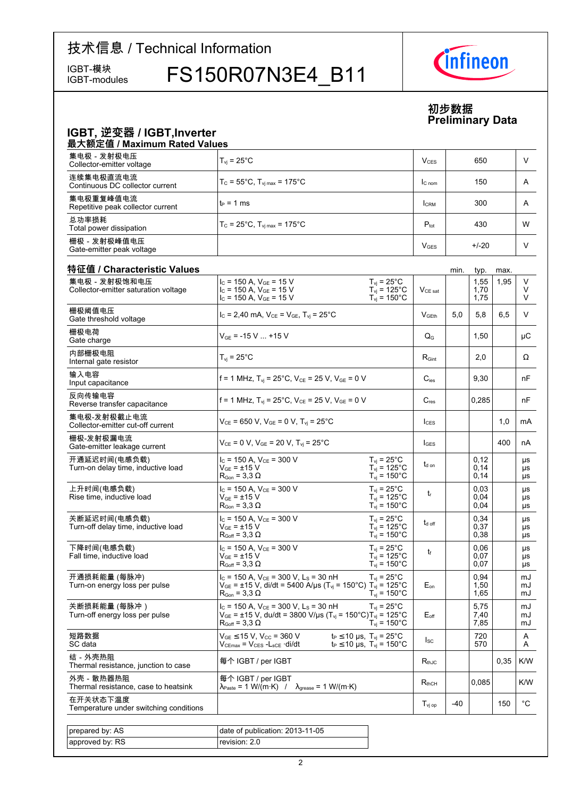# 技术信息 / Technical Information

IGBT-modules

IGBT-模块<br>IGBT-modules FS150R07N3E4 B11



### **初步数据 Preliminary-Data**

#### **IGBT,-逆变器-/-IGBT,Inverter** 最大额定值 / Maximum Rated Values 集电极 - 发射极电压 Collector-emitter voltage voltage  $\boxed{\mathsf{T}_{\mathsf{vj}}}=25^\circ\textsf{C}$  and  $\boxed{\mathsf{V}_{\mathsf{CES}}}$  (  $\boxed{\mathsf{V}_{\mathsf{CES}}}$  (  $\boxed{\mathsf{S50}}$  ,  $\boxed{\mathsf{V}}$ 连续集电极直流电流 Continuous DC collector  $T_c = 55^{\circ}$ C, T<sub>vj max</sub> = 175°C  $\vert$  Ic nom 150 A 集电极重复峰值电流 Repetitive peak collector current  $\begin{vmatrix} t_P = 1 \text{ ms} \\ 1 \text{ cm} \end{vmatrix}$   $\begin{vmatrix} 1 \text{ cm} \\ 300 \end{vmatrix}$  A 总功率损耗 Total power  $T_c = 25^{\circ}$ C,  $T_{vj \text{max}} = 175^{\circ}$ C  $P_{tot}$   $P_{tot}$  430 W 栅极-发射极峰值电压 Gate-emitter peak voltage <sup>V</sup>GES +/-20 <sup>V</sup> 特征值 / Characteristic **Values** min. typ. max. 集电极-发射极饱和电压 Collector-emitter saturation voltage  $I_C$  = 150 A,  $V_{GE}$  = 15 V  $I_C$  = 150 A,  $V_{GE}$  = 15 V  $I_C$  = 150 A,  $V_{GE}$  = 15 V  $V_{CE, sat}$ 1,55 1,70 1,75  $1,95$  V V V  $T_{vi}$  = 25 $^{\circ}$ C  $T_{\text{vj}} = 125^{\circ}$ C  $T_{\text{vj}} = 150^{\circ} \text{C}$ 栅极阈值电压 Gate threshold  $V_{\text{C}} = 2,40 \text{ mA}, V_{\text{C}} = V_{\text{G}} = V_{\text{H}} = 25^{\circ} \text{C}$   $V_{\text{G}} = 25^{\circ} \text{C}$   $V_{\text{G}} = 5,0 \text{ S}$  5,8 6,5 V 栅极电荷 Gate charge  $V_{GE}$  = -15 V ... +15 V  $Q_G$  | 1,50 | µC 内部栅极电阻 Internal gate resistor  $|T_{\mathsf{vj}} = 25^{\circ}\text{C}$  R<sub>Gint</sub>  $|$  2,0  $|$   $\Omega$ 输入电容 Input capacitance f = 1 MHz,  $T_{vi}$  = 25°C, V<sub>CE</sub> = 25 V, V<sub>GE</sub> = 0 V  $C_{ies}$  | 9,30 | nF 反向传输电容 Reverse transfer f = 1 MHz, T<sub>vi</sub> = 25°C, V<sub>CE</sub> = 25 V, V<sub>GE</sub> = 0 V  $\qquad$  C<sub>res</sub>  $\qquad$  0,285 nF 集电极-发射极截止电流 Collector-emitter cut-off current <sup>V</sup>CE = 650 V, VGE = 0 V, Tvj = 25°C <sup>I</sup>CES 1,0 mA 栅极-发射极漏电流 Gate-emitter leakage  $V_{CE} = 0 \text{ V}, V_{GE} = 20 \text{ V}, T_{vj} = 25^{\circ}\text{C}$   $| \cdot |_{GES} |$   $|$  400 nA 开通延迟时间(电感负载) Turn-on delay time, inductive load  $I_C = 150$  A,  $V_{CE} = 300$  V  $V_{GF}$  =  $\pm 15$  V  $R_{\text{Gon}} = 3.3 \Omega$ td on 0,12 0,14 0,14 µs µs µs  $T_{\text{vj}}$  = 25 $^{\circ}$ C  $T_{\text{vj}}$  = 125 $\text{°C}$  $T_{\text{vj}} = 150^{\circ} \text{C}$ 上升时间(电感负载) Rise time, inductive load  $I_{C}$  = 150 A,  $V_{CE}$  = 300 V  $V_{GE} = \pm 15$  V  $R_{\text{Gon}} = 3.3 \Omega$ tr 0,03 0,04  $0.04$ µs µs µs  $T_{vi}$  = 25 $^{\circ}$ C  $T_{\text{vj}} = 125^{\circ} \text{C}$  $T_{\text{vj}} = 150^{\circ} \text{C}$ 关断延迟时间(电感负载) Turn-off delay time, inductive load  $I_{C}$  = 150 A,  $V_{CF}$  = 300 V  $V_{CE}$  = +15 V  $R_{Goff} = 3.3 \Omega$ t<sub>d off</sub> 0,34 0.37 0,38 µs µs µs  $T_{\text{vj}}$  = 25 $^{\circ}$ C  $T_{\rm vj}$  = 125°C  $T_{\rm vj}$  = 150°C 下降时间(电感负载) Fall time, inductive load  $I_C$  = 150 A,  $V_{CE}$  = 300 V  $\rm V_{GE}$  =  $\pm 15~\rm V$  $R_{Goff}$  = 3.3  $\Omega$ tf 0,06 0.07 0,07 µs µs µs  $\underline{T}_{\text{vj}}$  = 25°C  $T_{\text{vj}} = 125^{\circ}C$  $T_{\text{vj}} = 150^{\circ} \text{C}$ 开通损耗能量 (每脉冲) Turn-on energy loss per pulse  $I_C$  = 150 A,  $V_{CE}$  = 300 V, L<sub>S</sub> = 30 nH  $V_{GE}$  = ±15 V, di/dt = 5400 A/µs (T<sub>vj</sub> = 150°C) T<sub>vj</sub> = 125°C  $R_{\text{Gon}} = 3.3 \Omega$  $F_{\alpha n}$ 0,94 1,50 1,65  $m<sub>l</sub>$ m. mJ  $T_{vi}$  = 25 $^{\circ}$ C  $T_{\text{vj}} = 150^{\circ} \text{C}$ 关断损耗能量 (每脉冲) Turn-off energy loss per pulse  $I_{C}$  = 150 A,  $V_{CE}$  = 300 V, L<sub>S</sub> = 30 nH  $V_{GE}$  = ±15 V, du/dt = 3800 V/µs (T<sub>vj</sub> = 150°C)  $R_{\text{Goff}} = 3.3 \Omega$  $E_{\text{off}}$ 5,75 7.40 7,85 m.  $m<sub>l</sub>$ m.  $T_{\rm vj}$  = 25°C  $T_{\rm vj}$  = 125°C  $T_{\nu j} = 150^{\circ}$ C 短路数据 SC-data  $V_{GE} \le 15$  V,  $V_{CC} = 360$  V<br> $V_{CEmax} = V_{CES} - L_{sCE} \cdot di/dt$  $V_{\text{CEmax}} = V \cdot V$ ,  $V_{\text{CC}} = 300 \text{ V}$ <br> $V_{\text{CEmax}} = V_{\text{CES}} - L_{\text{SCE}}$  ·di/dt  $t_P \le 10 \text{ µs}$ ,  $T_{\text{vj}} = 150 \text{°C}$   $\vert$   $V_{\text{SC}}$ 720 570 A A t<sub>P</sub>  $\leq$  10 µs, T<sub>vj</sub> = 25°C 结-外壳热阻 ョ - <sub>ハハボ紐</sub><br>Thermal resistance, junction to case │<sup>每个</sup> IGBT / per  $\vert$  R<sub>thJC</sub>  $\vert$   $\vert$   $\vert$  0,35 K/W 外壳-散热器热阻 Thermal resistance, case to heatsink 每个 IGBT / per IGBT  $\lambda_{\text{Paste}} = 1 \text{ W/(m·K)}$  /  $\lambda_{\text{grease}} = 1 \text{ W/(m·K)}$  R<sub>thCH</sub> 0,085 K/W 在开关状态下温度 Temperature under switching conditions the conditions of  $\begin{array}{|c|c|c|c|c|}\hline \texttt{Jvjop} & -40 & -150 & \texttt{°C} \ \hline \end{array}$

| prepared by: AS | date of publication: $2013-11-05$ |
|-----------------|-----------------------------------|
| approved by: RS | revision: 2.0                     |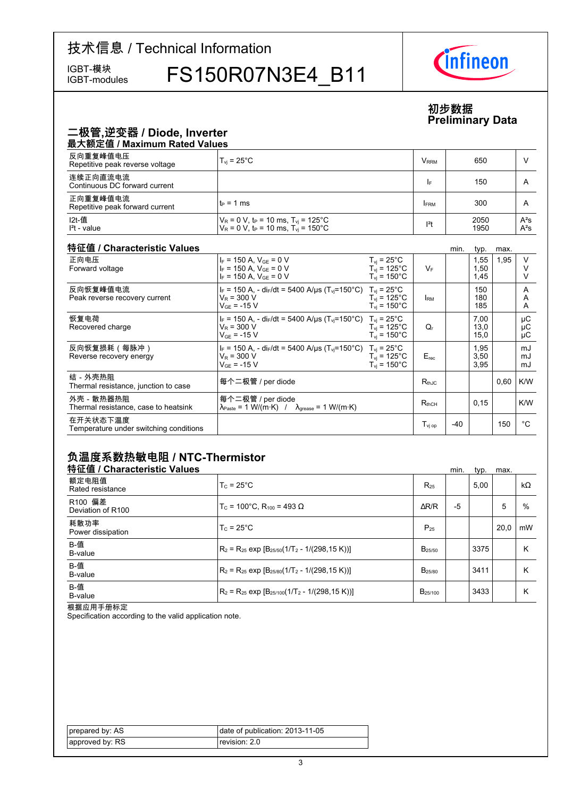# 技术信息 / Technical Information

IGBT-modules

IGBT-模块 FS150R07N3E4\_B11



### **初步数据 Preliminary-Data**

## 二极管,逆变器 / Diode, Inverter

| 最大额定值 / Maximum Rated Values                |                                                                                                                               |                         |              |                  |  |  |
|---------------------------------------------|-------------------------------------------------------------------------------------------------------------------------------|-------------------------|--------------|------------------|--|--|
| 反向重复峰值电压<br>Repetitive peak reverse voltage | $T_{\rm vi}$ = 25 $^{\circ}$ C                                                                                                | <b>V</b> <sub>RRM</sub> | 650          |                  |  |  |
| 连续正向直流电流<br>Continuous DC forward current   |                                                                                                                               | <b>IF</b>               | 150          | A                |  |  |
| 正向重复峰值电流<br>Repetitive peak forward current | $t_P = 1$ ms                                                                                                                  | <b>FRM</b>              | 300          | A                |  |  |
| I2t-值<br>$l2t - value$                      | $V_R = 0 V$ , t <sub>P</sub> = 10 ms, T <sub>vi</sub> = 125°C<br>$V_R = 0 V$ , t <sub>P</sub> = 10 ms, T <sub>y</sub> = 150°C | $12$ t                  | 2050<br>1950 | $A^2S$<br>$A^2S$ |  |  |

#### 特征值 / Characteristic

| 特征值 / Characteristic Values                        |                                                                                                                                       |                                                                               |                              | min.  | typ.                 | max. |                |
|----------------------------------------------------|---------------------------------------------------------------------------------------------------------------------------------------|-------------------------------------------------------------------------------|------------------------------|-------|----------------------|------|----------------|
| 正向电压<br>Forward voltage                            | $I_F = 150$ A, $V_{GF} = 0$ V<br>$I_F = 150$ A, $V_{GE} = 0$ V<br>$I_F = 150$ A, $V_{GE} = 0$ V                                       | $T_{vi}$ = 25°C<br>$T_{vi}$ = 125 $^{\circ}$ C<br>$T_{vi}$ = 150 $^{\circ}$ C | $V_F$                        |       | 1,55<br>1,50<br>1,45 | 1,95 | $\vee$         |
| 反向恢复峰值电流<br>Peak reverse recovery current          | $I_F = 150$ A, - di <sub>F</sub> /dt = 5400 A/µs (T <sub>vi</sub> =150°C) T <sub>vi</sub> = 25°C<br>$V_R = 300 V$<br>$V_{GF}$ = -15 V | $T_{vi}$ = 125°C<br>$T_{\rm vi}$ = 150 $^{\circ}$ C                           | <b>IRM</b>                   |       | 150<br>180<br>185    |      | A<br>A<br>A    |
| 恢复电荷<br>Recovered charge                           | $I_F = 150$ A, - di <sub>F</sub> /dt = 5400 A/us (T <sub>vi</sub> =150°C) T <sub>vi</sub> = 25°C<br>$V_R = 300 V$<br>$V_{GF}$ = -15 V | $T_{vi}$ = 125°C<br>$T_{\rm vi}$ = 150°C                                      | Q,                           |       | 7,00<br>13,0<br>15,0 |      | μC<br>μC<br>μC |
| 反向恢复损耗(每脉冲)<br>Reverse recovery energy             | $I_F = 150$ A, - di <sub>F</sub> /dt = 5400 A/us (T <sub>vi</sub> =150°C) T <sub>vi</sub> = 25°C<br>$V_R = 300 V$<br>$V_{GF}$ = -15 V | $T_{\rm vi}$ = 125°C<br>$T_{\rm vi}$ = 150 $^{\circ}$ C                       | $E_{rec}$                    |       | 1,95<br>3,50<br>3,95 |      | mJ<br>mJ<br>mJ |
| 结-外壳热阻<br>Thermal resistance, junction to case     | 每个二极管 / per diode                                                                                                                     |                                                                               | $R_{th,IC}$                  |       |                      | 0,60 | K/W            |
| 外壳 - 散热器热阻<br>Thermal resistance, case to heatsink | 每个二极管 / per diode<br>$\lambda_{\text{Paste}} = 1 \text{ W/(m·K)}$ / $\lambda_{\text{grease}} = 1 \text{ W/(m·K)}$                     |                                                                               | $R_{thCH}$                   |       | 0,15                 |      | K/W            |
| 在开关状态下温度<br>Temperature under switching conditions |                                                                                                                                       |                                                                               | $\mathsf{T}_\mathsf{vi\ op}$ | $-40$ |                      | 150  | °€             |

### 负温度系数热敏电阻 / NTC-Thermistor

| 特征值 / Characteristic Values  |                                                          |                     | min. | typ. | max. |           |
|------------------------------|----------------------------------------------------------|---------------------|------|------|------|-----------|
| 额定电阻值<br>Rated resistance    | $T_c = 25^{\circ}$ C                                     | $R_{25}$            |      | 5.00 |      | $k\Omega$ |
| R100 偏差<br>Deviation of R100 | $T_c$ = 100°C. R <sub>100</sub> = 493 Ω                  | $\Delta$ R/R        | -5   |      | 5    | %         |
| 耗散功率<br>Power dissipation    | $T_c = 25^{\circ}$ C                                     | $P_{25}$            |      |      | 20.0 | mW        |
| B-值<br>B-value               | $R_2 = R_{25}$ exp $[B_{25/50}(1/T_2 - 1/(298, 15 K))]$  | $B_{25/50}$         |      | 3375 |      | Κ         |
| B-值<br>B-value               | $R_2 = R_{25}$ exp $[B_{25/80}(1/T_2 - 1/(298.15 K))]$   | B <sub>25/80</sub>  |      | 3411 |      | Κ         |
| B-值<br>B-value               | $R_2 = R_{25}$ exp $[B_{25/100}(1/T_2 - 1/(298, 15 K))]$ | B <sub>25/100</sub> |      | 3433 |      | κ         |

根据应用手册标定

Specification according to the valid application note.

| prepared by: AS | date of publication: $2013-11-05$ |
|-----------------|-----------------------------------|
| approved by: RS | revision: 2.0                     |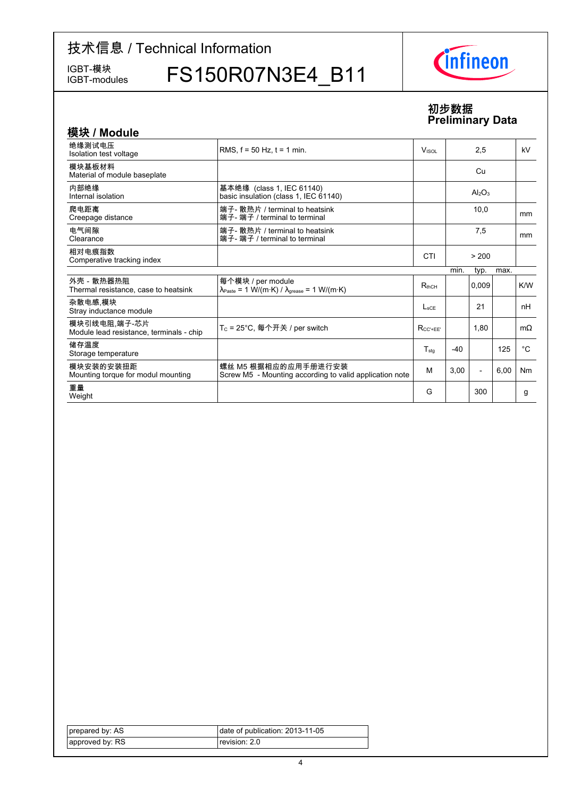# 技术信息 / Technical Information

IGBT-模块<br>IGBT-modules

FS150R07N3E4\_B11



#### **初步数据 Preliminary-Data**

| 模块 / Module                                              |                                                                                                                 |                          |       |                                |      |             |
|----------------------------------------------------------|-----------------------------------------------------------------------------------------------------------------|--------------------------|-------|--------------------------------|------|-------------|
| 绝缘测试电压<br>Isolation test voltage                         | RMS. $f = 50$ Hz. $t = 1$ min.                                                                                  | <b>V</b> <sub>ISOL</sub> |       | 2,5                            |      | kV          |
| 模块基板材料<br>Material of module baseplate                   |                                                                                                                 |                          |       | Cu                             |      |             |
| 内部绝缘<br>Internal isolation                               | 基本绝缘 (class 1, IEC 61140)<br>basic insulation (class 1, IEC 61140)                                              |                          |       | Al <sub>2</sub> O <sub>3</sub> |      |             |
| 爬电距离<br>Creepage distance                                | 端子- 散热片 / terminal to heatsink<br>端子- 端子 / terminal to terminal                                                 |                          |       | 10.0                           |      | mm          |
| 电气间隙<br>Clearance                                        | 端子- 散热片 / terminal to heatsink<br>端子- 端子 / terminal to terminal                                                 |                          |       | 7,5                            |      | mm          |
| 相对电痕指数<br>Comperative tracking index                     |                                                                                                                 | CTI                      |       | > 200                          |      |             |
|                                                          |                                                                                                                 |                          | min.  | typ.                           | max. |             |
| 外壳 - 散热器热阻<br>Thermal resistance, case to heatsink       | 每个模块 / per module<br>$\lambda_{\text{Paste}} = 1 \text{ W/(m·K)} / \lambda_{\text{grease}} = 1 \text{ W/(m·K)}$ | $R_{thCH}$               |       | 0,009                          |      | K/W         |
| 杂散电感 模块<br>Stray inductance module                       |                                                                                                                 | $L_{\rm sCF}$            |       | 21                             |      | nH          |
| 模块引线电阻,端子-芯片<br>Module lead resistance, terminals - chip | T <sub>C</sub> = 25°C, 每个开关 / per switch                                                                        | $R_{CC' + FF'}$          |       | 1,80                           |      | $m\Omega$   |
| 储存温度<br>Storage temperature                              |                                                                                                                 | $T_{sta}$                | $-40$ |                                | 125  | $^{\circ}C$ |
| 模块安装的安装扭距<br>Mounting torque for modul mounting          | 螺丝 M5 根据相应的应用手册进行安装<br>Screw M5 - Mounting according to valid application note                                  | M                        | 3,00  | $\overline{\phantom{a}}$       | 6,00 | Nm          |
| 重量<br>Weight                                             |                                                                                                                 | G                        |       | 300                            |      | g           |

| prepared by: AS | date of publication: 2013-11-05 |
|-----------------|---------------------------------|
| approved by: RS | revision: 2.0                   |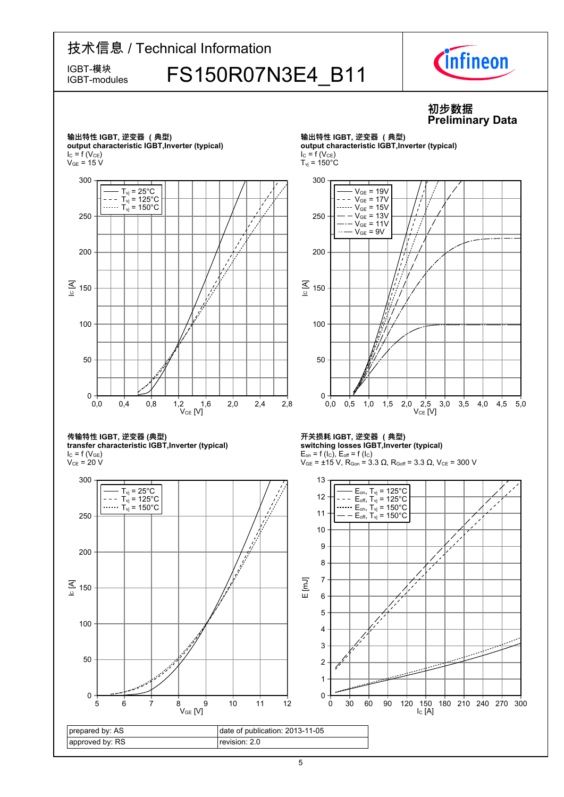# 技术信息 / Technical Information IGBT-模块<br>IGBT-modules FS150R07N3E4 B11 IGBT-modules



#### **初步数据 Preliminary-Data**

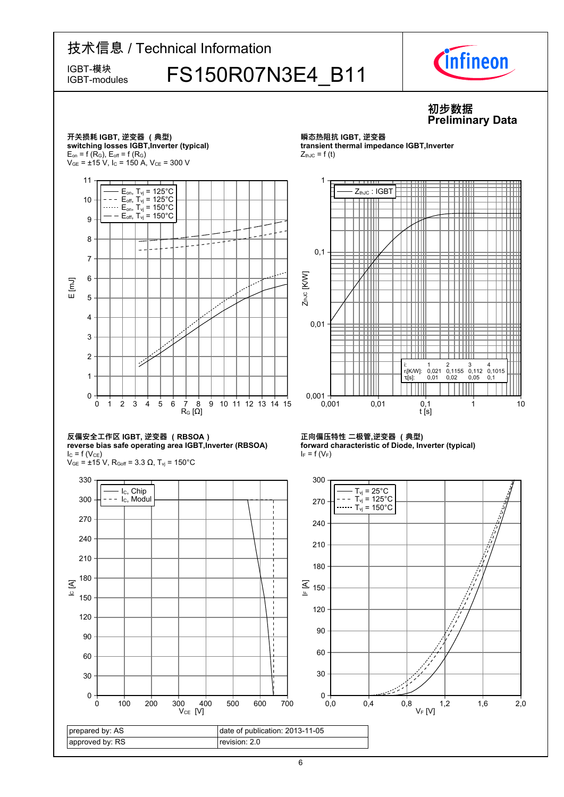

<sup>6</sup>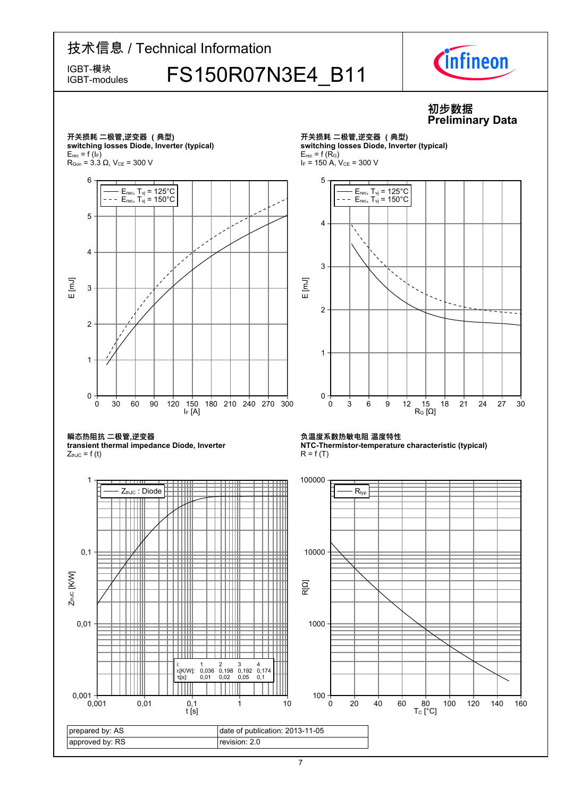# 技术信息 / Technical Information IGBT-模块<br>IGBT-modules FS150R07N3E4 B11 IGBT-modules



### **初步数据 Preliminary-Data**

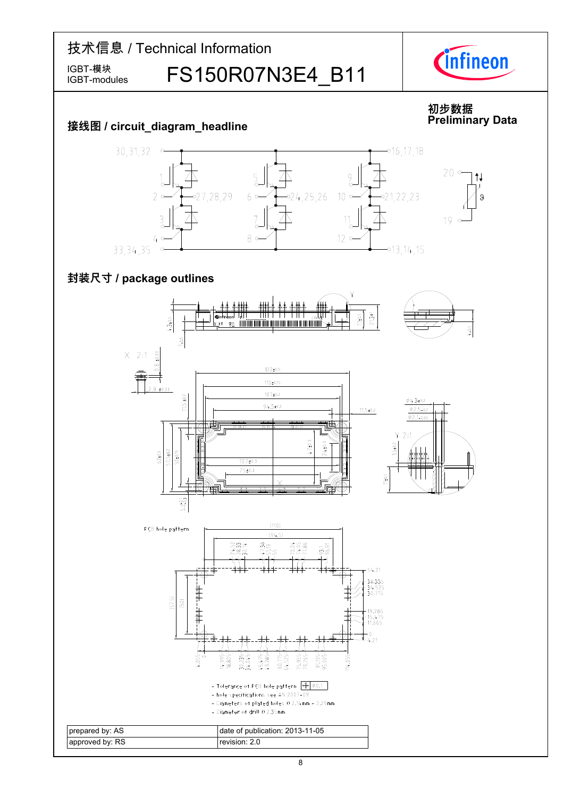